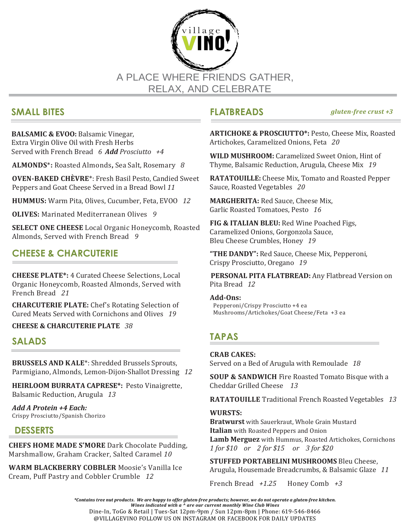

# **SMALL BITES**

**BALSAMIC & EVOO:** Balsamic Vinegar, Extra Virgin Olive Oil with Fresh Herbs Served with French Bread*6 Add Prosciutto +4*

**ALMONDS**\***:** Roasted Almonds**,** Sea Salt, Rosemary *8*

**OVEN-BAKED CHÈVRE**\*: Fresh Basil Pesto, Candied Sweet Peppers and Goat Cheese Served in a Bread Bowl *11*

**HUMMUS:** Warm Pita, Olives, Cucumber, Feta, EVOO *12*

**OLIVES:** Marinated Mediterranean Olives*9*

**SELECT ONE CHEESE** Local Organic Honeycomb, Roasted Almonds, Served with French Bread *9*

# **CHEESE & CHARCUTERIE**

**CHEESE PLATE\*:** 4 Curated Cheese Selections, Local Organic Honeycomb, Roasted Almonds, Served with French Bread *21*

**CHARCUTERIE PLATE:** Chef's Rotating Selection of Cured Meats Served with Cornichons and Olives *19*

**CHEESE & CHARCUTERIE PLATE** *38*

# **SALADS**

**BRUSSELS AND KALE**\*: Shredded Brussels Sprouts, Parmigiano, Almonds, Lemon-Dijon-Shallot Dressing *12*

**HEIRLOOM BURRATA CAPRESE\*:** Pesto Vinaigrette, Balsamic Reduction, Arugula *13*

*Add A Protein +4 Each:*  Crispy Prosciutto/Spanish Chorizo

# **DESSERTS**

**CHEFS HOME MADE S'MORE** Dark Chocolate Pudding, Marshmallow, Graham Cracker, Salted Caramel *10*

**WARM BLACKBERRY COBBLER** Moosie's Vanilla Ice Cream, Puff Pastry and Cobbler Crumble *12*

**FLATBREADS** *gluten-free crust +3*

**ARTICHOKE & PROSCIUTTO\*:** Pesto, Cheese Mix, Roasted Artichokes, Caramelized Onions, Feta *20*

**WILD MUSHROOM:** Caramelized Sweet Onion, Hint of Thyme, Balsamic Reduction, Arugula, Cheese Mix *19*

**RATATOUILLE:** Cheese Mix, Tomato and Roasted Pepper Sauce, Roasted Vegetables *20*

**MARGHERITA:** Red Sauce, Cheese Mix, Garlic Roasted Tomatoes, Pesto *16*

**FIG & ITALIAN BLEU:** Red Wine Poached Figs, Caramelized Onions, Gorgonzola Sauce, Bleu Cheese Crumbles, Honey *19*

**"THE DANDY":** Red Sauce, Cheese Mix, Pepperoni, Crispy Prosciutto, Oregano *19*

**PERSONAL PITA FLATBREAD:** Any Flatbread Version on Pita Bread *12*

### **Add-Ons:**

Pepperoni/Crispy Prosciutto +4 ea Mushrooms/Artichokes/Goat Cheese/Feta +3 ea

# **TAPAS**

### **CRAB CAKES:**

Served on a Bed of Arugula with Remoulade *18*

**SOUP & SANDWICH** Fire Roasted Tomato Bisque with a Cheddar Grilled Cheese *13*

**RATATOUILLE** Traditional French Roasted Vegetables *13*

### **WURSTS:**

**Bratwurst** with Sauerkraut, Whole Grain Mustard **Italian** with Roasted Peppers and Onion **Lamb Merguez** with Hummus, Roasted Artichokes, Cornichons *1 for \$10 or 2 for \$15 or 3 for \$20*

**STUFFED PORTABELINI MUSHROOMS** Bleu Cheese, Arugula, Housemade Breadcrumbs, & Balsamic Glaze *11*

French Bread *+1.25* Honey Comb *+3*

\*Contains tree nut products. We are happy to offer gluten-free products; however, we do not operate a gluten-free kitchen. *Wines indicated with a ^ are our current monthly Wine Club Wines* Dine-In, ToGo & Retail | Tues-Sat 12pm-9pm / Sun 12pm-8pm | Phone: 619-546-8466

@VILLAGEVINO FOLLOW US ON INSTAGRAM OR FACEBOOK FOR DAILY UPDATES